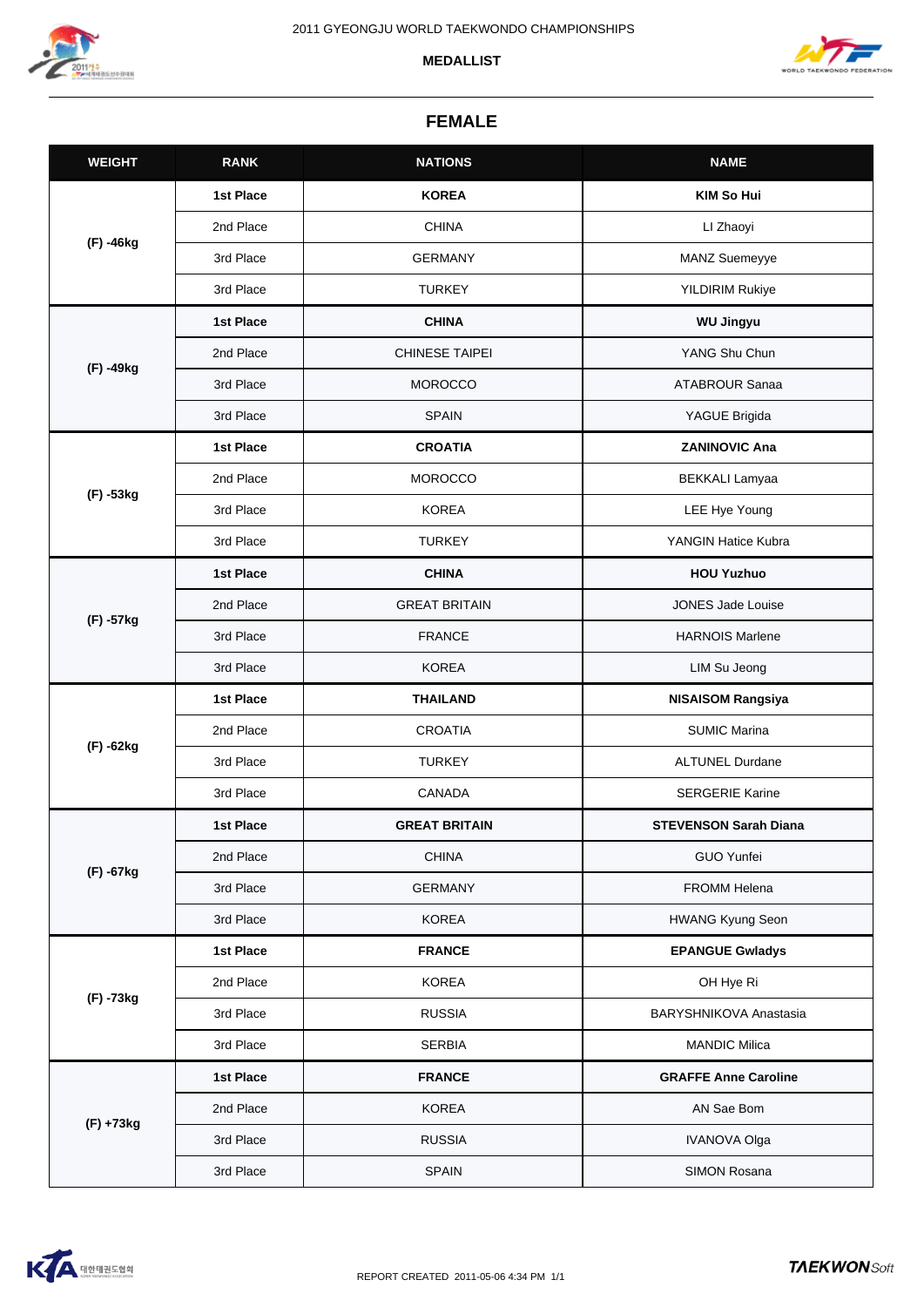





## **FEMALE**

| <b>WEIGHT</b> | <b>RANK</b> | <b>NATIONS</b>        | <b>NAME</b>                   |
|---------------|-------------|-----------------------|-------------------------------|
| (F) -46kg     | 1st Place   | <b>KOREA</b>          | <b>KIM So Hui</b>             |
|               | 2nd Place   | <b>CHINA</b>          | LI Zhaoyi                     |
|               | 3rd Place   | <b>GERMANY</b>        | MANZ Suemeyye                 |
|               | 3rd Place   | <b>TURKEY</b>         | <b>YILDIRIM Rukiye</b>        |
| (F) -49kg     | 1st Place   | <b>CHINA</b>          | <b>WU Jingyu</b>              |
|               | 2nd Place   | <b>CHINESE TAIPEI</b> | YANG Shu Chun                 |
|               | 3rd Place   | <b>MOROCCO</b>        | <b>ATABROUR Sanaa</b>         |
|               | 3rd Place   | <b>SPAIN</b>          | YAGUE Brigida                 |
| (F) -53kg     | 1st Place   | <b>CROATIA</b>        | <b>ZANINOVIC Ana</b>          |
|               | 2nd Place   | <b>MOROCCO</b>        | <b>BEKKALI Lamyaa</b>         |
|               | 3rd Place   | <b>KOREA</b>          | LEE Hye Young                 |
|               | 3rd Place   | <b>TURKEY</b>         | YANGIN Hatice Kubra           |
|               | 1st Place   | <b>CHINA</b>          | <b>HOU Yuzhuo</b>             |
|               | 2nd Place   | <b>GREAT BRITAIN</b>  | <b>JONES Jade Louise</b>      |
| (F) -57kg     | 3rd Place   | <b>FRANCE</b>         | <b>HARNOIS Marlene</b>        |
|               | 3rd Place   | <b>KOREA</b>          | LIM Su Jeong                  |
|               | 1st Place   | <b>THAILAND</b>       | <b>NISAISOM Rangsiya</b>      |
| (F) -62kg     | 2nd Place   | <b>CROATIA</b>        | <b>SUMIC Marina</b>           |
|               | 3rd Place   | <b>TURKEY</b>         | <b>ALTUNEL Durdane</b>        |
|               | 3rd Place   | CANADA                | <b>SERGERIE Karine</b>        |
| (F) -67kg     | 1st Place   | <b>GREAT BRITAIN</b>  | <b>STEVENSON Sarah Diana</b>  |
|               | 2nd Place   | <b>CHINA</b>          | <b>GUO Yunfei</b>             |
|               | 3rd Place   | <b>GERMANY</b>        | FROMM Helena                  |
|               | 3rd Place   | <b>KOREA</b>          | <b>HWANG Kyung Seon</b>       |
| (F) -73kg     | 1st Place   | <b>FRANCE</b>         | <b>EPANGUE Gwladys</b>        |
|               | 2nd Place   | <b>KOREA</b>          | OH Hye Ri                     |
|               | 3rd Place   | <b>RUSSIA</b>         | <b>BARYSHNIKOVA Anastasia</b> |
|               | 3rd Place   | <b>SERBIA</b>         | <b>MANDIC Milica</b>          |
| (F) +73kg     | 1st Place   | <b>FRANCE</b>         | <b>GRAFFE Anne Caroline</b>   |
|               | 2nd Place   | <b>KOREA</b>          | AN Sae Bom                    |
|               | 3rd Place   | <b>RUSSIA</b>         | <b>IVANOVA Olga</b>           |
|               | 3rd Place   | <b>SPAIN</b>          | SIMON Rosana                  |